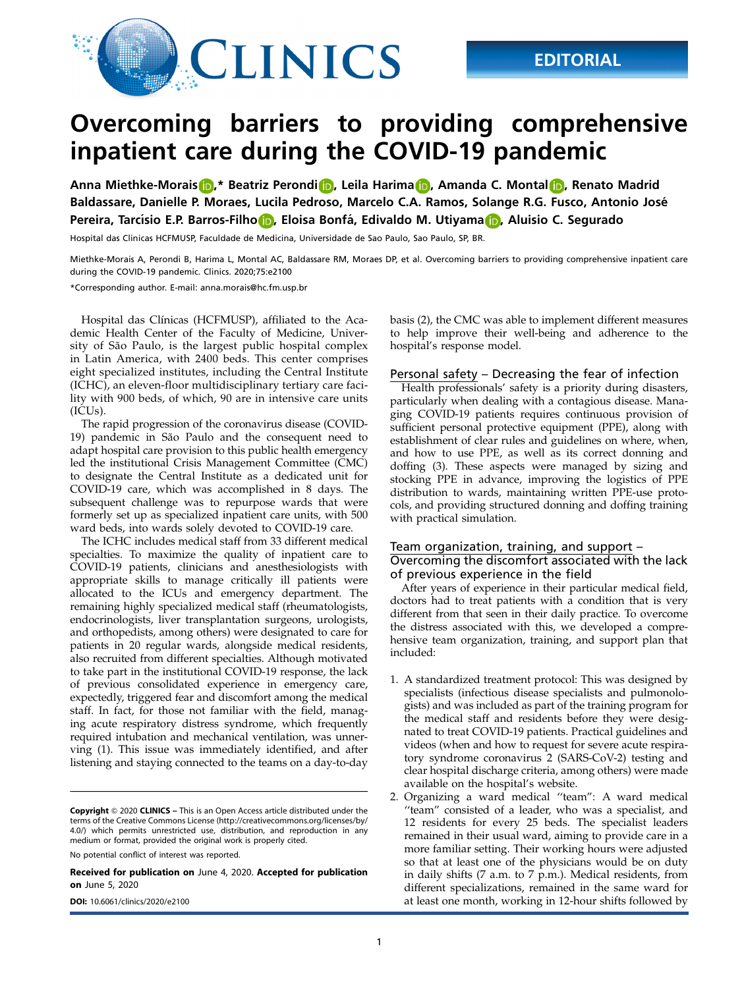

# Overcoming barriers to providing comprehensive inpatient care during the COVID-19 pandemic

Anna Miethke-Morais<sup>1</sup>0,\* Beatriz Perondi<sup>n</sup>o, Leila Harima<sup>no</sup>, Amanda C. Montal<sup>n</sup>o, Renato Madrid Baldassare, Danielle P. Moraes, Lucila Pedroso, Marcelo C.A. Ramos, Solange R.G. Fusco, Antonio Jose´ Pereira, Tarcísio E.P. Barros-Filho<sup>n</sup>o, Eloisa Bonfá, Edivaldo M. Utiyama<sup>n</sup>o, Aluisio C. Segurado

Hospital das Clinicas HCFMUSP, Faculdade de Medicina, Universidade de Sao Paulo, Sao Paulo, SP, BR.

Miethke-Morais A, Perondi B, Harima L, Montal AC, Baldassare RM, Moraes DP, et al. Overcoming barriers to providing comprehensive inpatient care during the COVID-19 pandemic. Clinics. 2020;75:e2100

\*Corresponding author. E-mail: [anna.morais@hc.fm.usp.br](mailto:anna.morais@hc.fm.usp.br)

Hospital das Clínicas (HCFMUSP), affiliated to the Academic Health Center of the Faculty of Medicine, University of São Paulo, is the largest public hospital complex in Latin America, with 2400 beds. This center comprises eight specialized institutes, including the Central Institute (ICHC), an eleven-floor multidisciplinary tertiary care facility with 900 beds, of which, 90 are in intensive care units (ICUs).

The rapid progression of the coronavirus disease (COVID-19) pandemic in São Paulo and the consequent need to adapt hospital care provision to this public health emergency led the institutional Crisis Management Committee (CMC) to designate the Central Institute as a dedicated unit for COVID-19 care, which was accomplished in 8 days. The subsequent challenge was to repurpose wards that were formerly set up as specialized inpatient care units, with 500 ward beds, into wards solely devoted to COVID-19 care.

The ICHC includes medical staff from 33 different medical specialties. To maximize the quality of inpatient care to COVID-19 patients, clinicians and anesthesiologists with appropriate skills to manage critically ill patients were allocated to the ICUs and emergency department. The remaining highly specialized medical staff (rheumatologists, endocrinologists, liver transplantation surgeons, urologists, and orthopedists, among others) were designated to care for patients in 20 regular wards, alongside medical residents, also recruited from different specialties. Although motivated to take part in the institutional COVID-19 response, the lack of previous consolidated experience in emergency care, expectedly, triggered fear and discomfort among the medical staff. In fact, for those not familiar with the field, managing acute respiratory distress syndrome, which frequently required intubation and mechanical ventilation, was unnerving (1). This issue was immediately identified, and after listening and staying connected to the teams on a day-to-day

Copyright © 2020 CLINICS – This is an Open Access article distributed under the terms of the Creative Commons License (http://creativecommons.org/licenses/by/ 4.0/) which permits unrestricted use, distribution, and reproduction in any medium or format, provided the original work is properly cited.

No potential conflict of interest was reported.

Received for publication on June 4, 2020. Accepted for publication on June 5, 2020

basis (2), the CMC was able to implement different measures to help improve their well-being and adherence to the hospital's response model.

# Personal safety - Decreasing the fear of infection

Health professionals' safety is a priority during disasters, particularly when dealing with a contagious disease. Managing COVID-19 patients requires continuous provision of sufficient personal protective equipment (PPE), along with establishment of clear rules and guidelines on where, when, and how to use PPE, as well as its correct donning and doffing (3). These aspects were managed by sizing and stocking PPE in advance, improving the logistics of PPE distribution to wards, maintaining written PPE-use protocols, and providing structured donning and doffing training with practical simulation.

#### Team organization, training, and support – Overcoming the discomfort associated with the lack of previous experience in the field

After years of experience in their particular medical field, doctors had to treat patients with a condition that is very different from that seen in their daily practice. To overcome the distress associated with this, we developed a comprehensive team organization, training, and support plan that included:

- 1. A standardized treatment protocol: This was designed by specialists (infectious disease specialists and pulmonologists) and was included as part of the training program for the medical staff and residents before they were designated to treat COVID-19 patients. Practical guidelines and videos (when and how to request for severe acute respiratory syndrome coronavirus 2 (SARS-CoV-2) testing and clear hospital discharge criteria, among others) were made available on the hospital's website.
- 2. Organizing a ward medical ''team'': A ward medical "team" consisted of a leader, who was a specialist, and 12 residents for every 25 beds. The specialist leaders remained in their usual ward, aiming to provide care in a more familiar setting. Their working hours were adjusted so that at least one of the physicians would be on duty in daily shifts (7 a.m. to 7 p.m.). Medical residents, from different specializations, remained in the same ward for DOI: [10.6061/clinics/2020/e2100](https://doi.org/10.6061/clinics/2020/e2100) at least one month, working in 12-hour shifts followed by